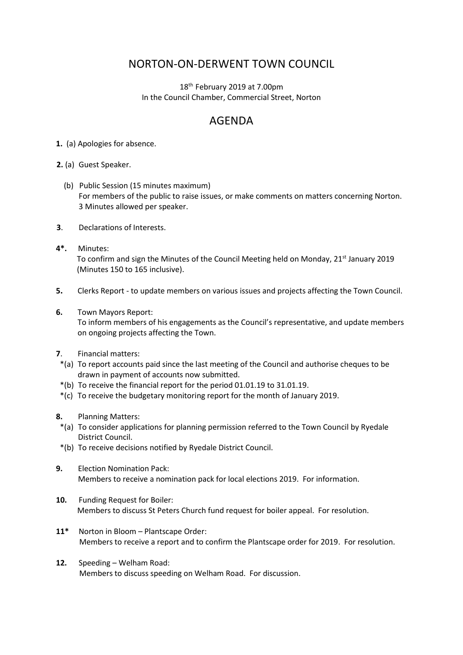## NORTON-ON-DERWENT TOWN COUNCIL

18<sup>th</sup> February 2019 at 7.00pm In the Council Chamber, Commercial Street, Norton

## AGENDA

- **1.** (a) Apologies for absence.
- **2.** (a) Guest Speaker.
	- (b) Public Session (15 minutes maximum) For members of the public to raise issues, or make comments on matters concerning Norton. 3 Minutes allowed per speaker.
- **3**. Declarations of Interests.
- **4\*.** Minutes: To confirm and sign the Minutes of the Council Meeting held on Monday, 21<sup>st</sup> January 2019 (Minutes 150 to 165 inclusive).
- **5.** Clerks Report to update members on various issues and projects affecting the Town Council.
- **6.** Town Mayors Report:

 To inform members of his engagements as the Council's representative, and update members on ongoing projects affecting the Town.

- **7**. Financial matters:
- \*(a) To report accounts paid since the last meeting of the Council and authorise cheques to be drawn in payment of accounts now submitted.
- \*(b) To receive the financial report for the period 01.01.19 to 31.01.19.
- \*(c) To receive the budgetary monitoring report for the month of January 2019.
- **8.** Planning Matters:
- \*(a) To consider applications for planning permission referred to the Town Council by Ryedale District Council.
- \*(b) To receive decisions notified by Ryedale District Council.
- **9.** Election Nomination Pack: Members to receive a nomination pack for local elections 2019. For information.
- **10.** Funding Request for Boiler: Members to discuss St Peters Church fund request for boiler appeal. For resolution.
- **11\*** Norton in Bloom Plantscape Order: Members to receive a report and to confirm the Plantscape order for 2019. For resolution.
- **12.** Speeding Welham Road: Members to discuss speeding on Welham Road. For discussion.